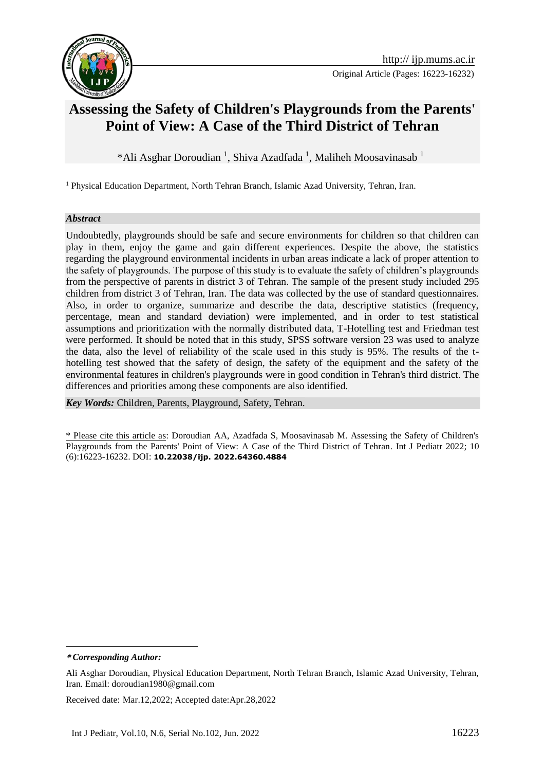

# **Assessing the Safety of Children's Playgrounds from the Parents' Point of View: A Case of the Third District of Tehran**

\*Ali Asghar Doroudian<sup>1</sup>, Shiva Azadfada<sup>1</sup>, Maliheh Moosavinasab<sup>1</sup>

<sup>1</sup> Physical Education Department, North Tehran Branch, Islamic Azad University, Tehran, Iran.

#### *Abstract*

Undoubtedly, playgrounds should be safe and secure environments for children so that children can play in them, enjoy the game and gain different experiences. Despite the above, the statistics regarding the playground environmental incidents in urban areas indicate a lack of proper attention to the safety of playgrounds. The purpose of this study is to evaluate the safety of children's playgrounds from the perspective of parents in district 3 of Tehran. The sample of the present study included 295 children from district 3 of Tehran, Iran. The data was collected by the use of standard questionnaires. Also, in order to organize, summarize and describe the data, descriptive statistics (frequency, percentage, mean and standard deviation) were implemented, and in order to test statistical assumptions and prioritization with the normally distributed data, T-Hotelling test and Friedman test were performed. It should be noted that in this study, SPSS software version 23 was used to analyze the data, also the level of reliability of the scale used in this study is 95%. The results of the thotelling test showed that the safety of design, the safety of the equipment and the safety of the environmental features in children's playgrounds were in good condition in Tehran's third district. The differences and priorities among these components are also identified.

*Key Words:* Children, Parents, Playground, Safety, Tehran.

\* Please cite this article as: Doroudian AA, Azadfada S, Moosavinasab M. Assessing the Safety of Children's Playgrounds from the Parents' Point of View: A Case of the Third District of Tehran. Int J Pediatr 2022; 10 (6):16223-16232. DOI: **10.22038/ijp. 2022.64360.4884**

1

Received date: Mar.12,2022; Accepted date:Apr.28,2022

**<sup>\*</sup>** *Corresponding Author:*

Ali Asghar Doroudian, Physical Education Department, North Tehran Branch, Islamic Azad University, Tehran, Iran. Email: doroudian1980@gmail.com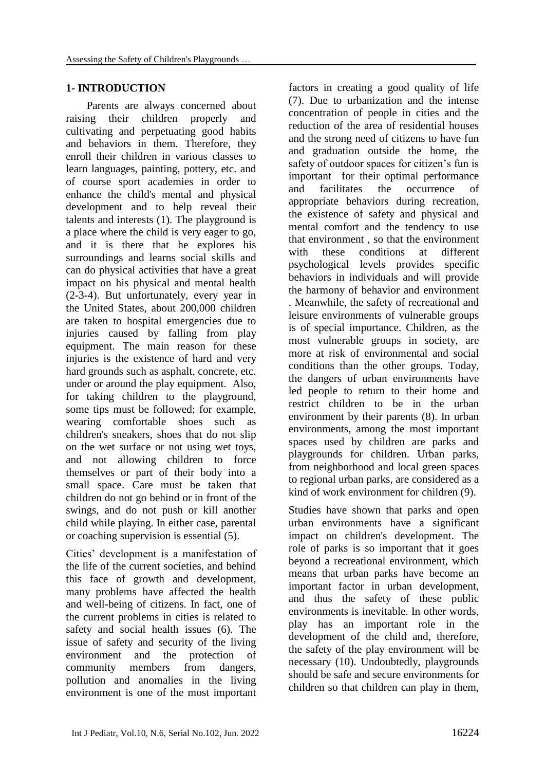### **1- INTRODUCTION**

Parents are always concerned about raising their children properly and cultivating and perpetuating good habits and behaviors in them. Therefore, they enroll their children in various classes to learn languages, painting, pottery, etc. and of course sport academies in order to enhance the child's mental and physical development and to help reveal their talents and interests (1). The playground is a place where the child is very eager to go, and it is there that he explores his surroundings and learns social skills and can do physical activities that have a great impact on his physical and mental health (2-3-4). But unfortunately, every year in the United States, about 200,000 children are taken to hospital emergencies due to injuries caused by falling from play equipment. The main reason for these injuries is the existence of hard and very hard grounds such as asphalt, concrete, etc. under or around the play equipment. Also, for taking children to the playground, some tips must be followed; for example, wearing comfortable shoes such as children's sneakers, shoes that do not slip on the wet surface or not using wet toys, and not allowing children to force themselves or part of their body into a small space. Care must be taken that children do not go behind or in front of the swings, and do not push or kill another child while playing. In either case, parental or coaching supervision is essential (5).

Cities' development is a manifestation of the life of the current societies, and behind this face of growth and development, many problems have affected the health and well-being of citizens. In fact, one of the current problems in cities is related to safety and social health issues (6). The issue of safety and security of the living environment and the protection of community members from dangers, pollution and anomalies in the living environment is one of the most important

factors in creating a good quality of life (7). Due to urbanization and the intense concentration of people in cities and the reduction of the area of residential houses and the strong need of citizens to have fun and graduation outside the home, the safety of outdoor spaces for citizen's fun is important for their optimal performance and facilitates the occurrence of appropriate behaviors during recreation, the existence of safety and physical and mental comfort and the tendency to use that environment , so that the environment with these conditions at different psychological levels provides specific behaviors in individuals and will provide the harmony of behavior and environment . Meanwhile, the safety of recreational and leisure environments of vulnerable groups is of special importance. Children, as the most vulnerable groups in society, are more at risk of environmental and social conditions than the other groups. Today, the dangers of urban environments have led people to return to their home and restrict children to be in the urban environment by their parents (8). In urban environments, among the most important spaces used by children are parks and playgrounds for children. Urban parks, from neighborhood and local green spaces to regional urban parks, are considered as a kind of work environment for children (9).

Studies have shown that parks and open urban environments have a significant impact on children's development. The role of parks is so important that it goes beyond a recreational environment, which means that urban parks have become an important factor in urban development, and thus the safety of these public environments is inevitable. In other words, play has an important role in the development of the child and, therefore, the safety of the play environment will be necessary (10). Undoubtedly, playgrounds should be safe and secure environments for children so that children can play in them,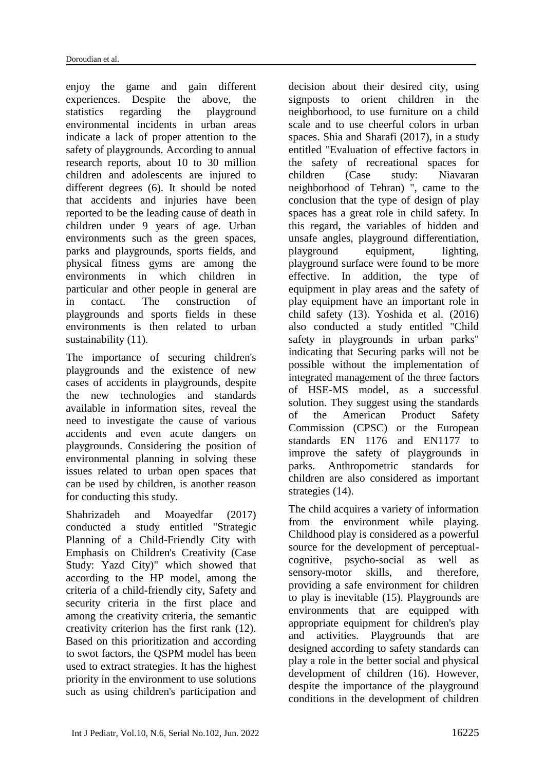enjoy the game and gain different experiences. Despite the above, the statistics regarding the playground environmental incidents in urban areas indicate a lack of proper attention to the safety of playgrounds. According to annual research reports, about 10 to 30 million children and adolescents are injured to different degrees (6). It should be noted that accidents and injuries have been reported to be the leading cause of death in children under 9 years of age. Urban environments such as the green spaces, parks and playgrounds, sports fields, and physical fitness gyms are among the environments in which children in particular and other people in general are in contact. The construction of playgrounds and sports fields in these environments is then related to urban sustainability  $(11)$ .

The importance of securing children's playgrounds and the existence of new cases of accidents in playgrounds, despite the new technologies and standards available in information sites, reveal the need to investigate the cause of various accidents and even acute dangers on playgrounds. Considering the position of environmental planning in solving these issues related to urban open spaces that can be used by children, is another reason for conducting this study.

Shahrizadeh and Moayedfar (2017) conducted a study entitled "Strategic Planning of a Child-Friendly City with Emphasis on Children's Creativity (Case Study: Yazd City)" which showed that according to the HP model, among the criteria of a child-friendly city, Safety and security criteria in the first place and among the creativity criteria, the semantic creativity criterion has the first rank (12). Based on this prioritization and according to swot factors, the QSPM model has been used to extract strategies. It has the highest priority in the environment to use solutions such as using children's participation and

decision about their desired city, using signposts to orient children in the neighborhood, to use furniture on a child scale and to use cheerful colors in urban spaces. Shia and Sharafi (2017), in a study entitled "Evaluation of effective factors in the safety of recreational spaces for children (Case study: Niavaran neighborhood of Tehran) ", came to the conclusion that the type of design of play spaces has a great role in child safety. In this regard, the variables of hidden and unsafe angles, playground differentiation, playground equipment, lighting, playground surface were found to be more effective. In addition, the type of equipment in play areas and the safety of play equipment have an important role in child safety (13). Yoshida et al. (2016) also conducted a study entitled "Child safety in playgrounds in urban parks" indicating that Securing parks will not be possible without the implementation of integrated management of the three factors of HSE-MS model, as a successful solution. They suggest using the standards of the American Product Safety Commission (CPSC) or the European standards EN 1176 and EN1177 to improve the safety of playgrounds in parks. Anthropometric standards for children are also considered as important strategies (14).

The child acquires a variety of information from the environment while playing. Childhood play is considered as a powerful source for the development of perceptualcognitive, psycho-social as well as sensory-motor skills, and therefore, providing a safe environment for children to play is inevitable (15). Playgrounds are environments that are equipped with appropriate equipment for children's play and activities. Playgrounds that are designed according to safety standards can play a role in the better social and physical development of children (16). However, despite the importance of the playground conditions in the development of children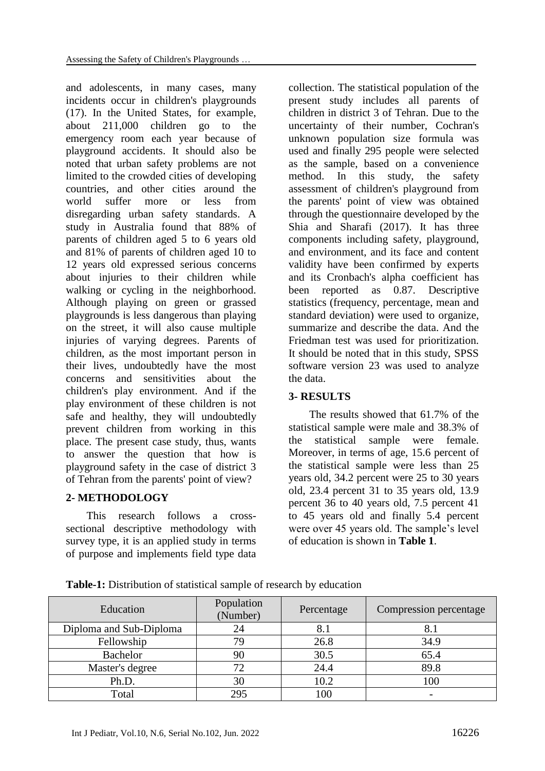and adolescents, in many cases, many incidents occur in children's playgrounds (17). In the United States, for example, about 211,000 children go to the emergency room each year because of playground accidents. It should also be noted that urban safety problems are not limited to the crowded cities of developing countries, and other cities around the world suffer more or less from disregarding urban safety standards. A study in Australia found that 88% of parents of children aged 5 to 6 years old and 81% of parents of children aged 10 to 12 years old expressed serious concerns about injuries to their children while walking or cycling in the neighborhood. Although playing on green or grassed playgrounds is less dangerous than playing on the street, it will also cause multiple injuries of varying degrees. Parents of children, as the most important person in their lives, undoubtedly have the most concerns and sensitivities about the children's play environment. And if the play environment of these children is not safe and healthy, they will undoubtedly prevent children from working in this place. The present case study, thus, wants to answer the question that how is playground safety in the case of district 3 of Tehran from the parents' point of view?

# **2- METHODOLOGY**

This research follows a crosssectional descriptive methodology with survey type, it is an applied study in terms of purpose and implements field type data

collection. The statistical population of the present study includes all parents of children in district 3 of Tehran. Due to the uncertainty of their number, Cochran's unknown population size formula was used and finally 295 people were selected as the sample, based on a convenience method. In this study, the safety assessment of children's playground from the parents' point of view was obtained through the questionnaire developed by the Shia and Sharafi (2017). It has three components including safety, playground, and environment, and its face and content validity have been confirmed by experts and its Cronbach's alpha coefficient has been reported as 0.87. Descriptive statistics (frequency, percentage, mean and standard deviation) were used to organize, summarize and describe the data. And the Friedman test was used for prioritization. It should be noted that in this study, SPSS software version 23 was used to analyze the data.

# **3- RESULTS**

The results showed that 61.7% of the statistical sample were male and 38.3% of the statistical sample were female. Moreover, in terms of age, 15.6 percent of the statistical sample were less than 25 years old, 34.2 percent were 25 to 30 years old, 23.4 percent 31 to 35 years old, 13.9 percent 36 to 40 years old, 7.5 percent 41 to 45 years old and finally 5.4 percent were over 45 years old. The sample's level of education is shown in **Table 1**.

**Table-1:** Distribution of statistical sample of research by education

| Education               | Population<br>(Number) | Percentage | Compression percentage |
|-------------------------|------------------------|------------|------------------------|
| Diploma and Sub-Diploma | 24                     | 8.1        | 8.1                    |
| Fellowship              | 79                     | 26.8       | 34.9                   |
| Bachelor                | 90                     | 30.5       | 65.4                   |
| Master's degree         | 72                     | 24.4       | 89.8                   |
| Ph.D.                   | 30                     | 10.2       | 100                    |
| Total                   | 295                    | 100        |                        |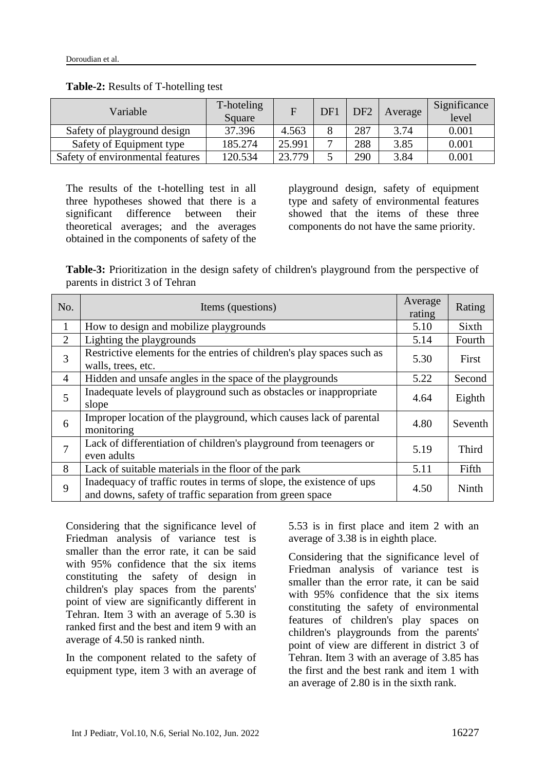| Variable                         | T-hoteling<br>Square |        | DF1 | DF <sub>2</sub> | Average | Significance<br>level |
|----------------------------------|----------------------|--------|-----|-----------------|---------|-----------------------|
| Safety of playground design      | 37.396               | 4.563  |     | 287             | 3.74    | 0.001                 |
| Safety of Equipment type         | 185.274              | 25.991 | ⇁   | 288             | 3.85    | 0.001                 |
| Safety of environmental features | 120.534              | 23.779 |     | 290             | 3.84    | 0.001                 |

#### **Table-2:** Results of T-hotelling test

The results of the t-hotelling test in all three hypotheses showed that there is a significant difference between their theoretical averages; and the averages obtained in the components of safety of the playground design, safety of equipment type and safety of environmental features showed that the items of these three components do not have the same priority.

**Table-3:** Prioritization in the design safety of children's playground from the perspective of parents in district 3 of Tehran

| No.    | Items (questions)                                                                                                                | Average<br>rating | Rating  |
|--------|----------------------------------------------------------------------------------------------------------------------------------|-------------------|---------|
| 1      | How to design and mobilize playgrounds                                                                                           | 5.10              | Sixth   |
| 2      | Lighting the playgrounds                                                                                                         | 5.14              | Fourth  |
| 3      | Restrictive elements for the entries of children's play spaces such as<br>walls, trees, etc.                                     | 5.30              | First   |
| 4      | Hidden and unsafe angles in the space of the playgrounds                                                                         | 5.22              | Second  |
| 5      | Inadequate levels of playground such as obstacles or inappropriate<br>slope                                                      | 4.64              | Eighth  |
| 6      | Improper location of the playground, which causes lack of parental<br>monitoring                                                 | 4.80              | Seventh |
| $\tau$ | Lack of differentiation of children's playground from teenagers or<br>even adults                                                | 5.19              | Third   |
| 8      | Lack of suitable materials in the floor of the park                                                                              | 5.11              | Fifth   |
| 9      | Inadequacy of traffic routes in terms of slope, the existence of ups<br>and downs, safety of traffic separation from green space | 4.50              | Ninth   |

Considering that the significance level of Friedman analysis of variance test is smaller than the error rate, it can be said with 95% confidence that the six items constituting the safety of design in children's play spaces from the parents' point of view are significantly different in Tehran. Item 3 with an average of 5.30 is ranked first and the best and item 9 with an average of 4.50 is ranked ninth.

In the component related to the safety of equipment type, item 3 with an average of 5.53 is in first place and item 2 with an average of 3.38 is in eighth place.

Considering that the significance level of Friedman analysis of variance test is smaller than the error rate, it can be said with 95% confidence that the six items constituting the safety of environmental features of children's play spaces on children's playgrounds from the parents' point of view are different in district 3 of Tehran. Item 3 with an average of 3.85 has the first and the best rank and item 1 with an average of 2.80 is in the sixth rank.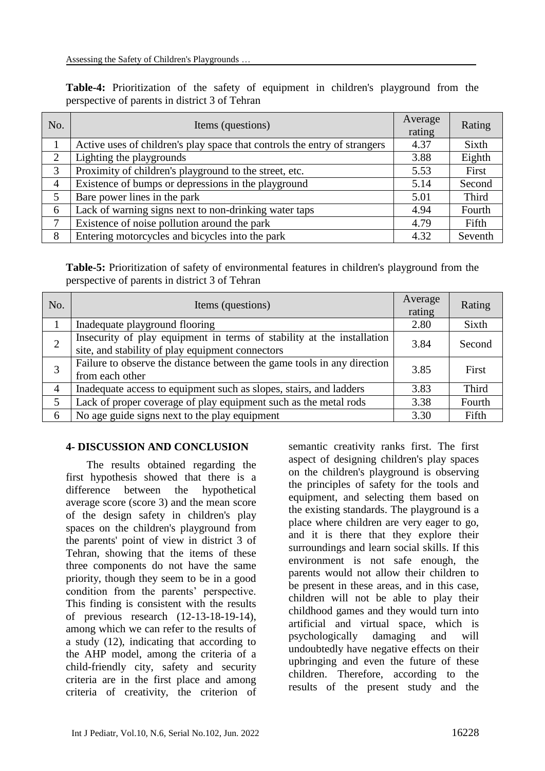|                                                | <b>Table-4:</b> Prioritization of the safety of equipment in children's playground from the |  |  |  |  |  |  |  |  |  |  |
|------------------------------------------------|---------------------------------------------------------------------------------------------|--|--|--|--|--|--|--|--|--|--|
| perspective of parents in district 3 of Tehran |                                                                                             |  |  |  |  |  |  |  |  |  |  |

| No.            | Items (questions)                                                         | Average<br>rating | Rating  |
|----------------|---------------------------------------------------------------------------|-------------------|---------|
|                | Active uses of children's play space that controls the entry of strangers | 4.37              | Sixth   |
| $\overline{2}$ | Lighting the playgrounds                                                  | 3.88              | Eighth  |
| 3              | Proximity of children's playground to the street, etc.                    |                   | First   |
| 4              | Existence of bumps or depressions in the playground                       | 5.14              | Second  |
| 5              | Bare power lines in the park                                              | 5.01              | Third   |
| 6              | Lack of warning signs next to non-drinking water taps                     | 4.94              | Fourth  |
| 7              | Existence of noise pollution around the park                              | 4.79              | Fifth   |
| 8              | Entering motorcycles and bicycles into the park                           | 4.32              | Seventh |

**Table-5:** Prioritization of safety of environmental features in children's playground from the perspective of parents in district 3 of Tehran

| No.            | Items (questions)                                                                                                          | Average<br>rating | Rating       |
|----------------|----------------------------------------------------------------------------------------------------------------------------|-------------------|--------------|
|                | Inadequate playground flooring                                                                                             | 2.80              | Sixth        |
| $\overline{2}$ | Insecurity of play equipment in terms of stability at the installation<br>site, and stability of play equipment connectors | 3.84              | Second       |
| 3              | Failure to observe the distance between the game tools in any direction<br>from each other                                 | 3.85              | First        |
| $\overline{4}$ | Inadequate access to equipment such as slopes, stairs, and ladders                                                         | 3.83              | <b>Third</b> |
| 5              | Lack of proper coverage of play equipment such as the metal rods                                                           | 3.38              | Fourth       |
| 6              | No age guide signs next to the play equipment                                                                              |                   | Fifth        |

## **4- DISCUSSION AND CONCLUSION**

The results obtained regarding the first hypothesis showed that there is a difference between the hypothetical average score (score 3) and the mean score of the design safety in children's play spaces on the children's playground from the parents' point of view in district 3 of Tehran, showing that the items of these three components do not have the same priority, though they seem to be in a good condition from the parents' perspective. This finding is consistent with the results of previous research (12-13-18-19-14), among which we can refer to the results of a study (12), indicating that according to the AHP model, among the criteria of a child-friendly city, safety and security criteria are in the first place and among criteria of creativity, the criterion of semantic creativity ranks first. The first aspect of designing children's play spaces on the children's playground is observing the principles of safety for the tools and equipment, and selecting them based on the existing standards. The playground is a place where children are very eager to go, and it is there that they explore their surroundings and learn social skills. If this environment is not safe enough, the parents would not allow their children to be present in these areas, and in this case, children will not be able to play their childhood games and they would turn into artificial and virtual space, which is psychologically damaging and will undoubtedly have negative effects on their upbringing and even the future of these children. Therefore, according to the results of the present study and the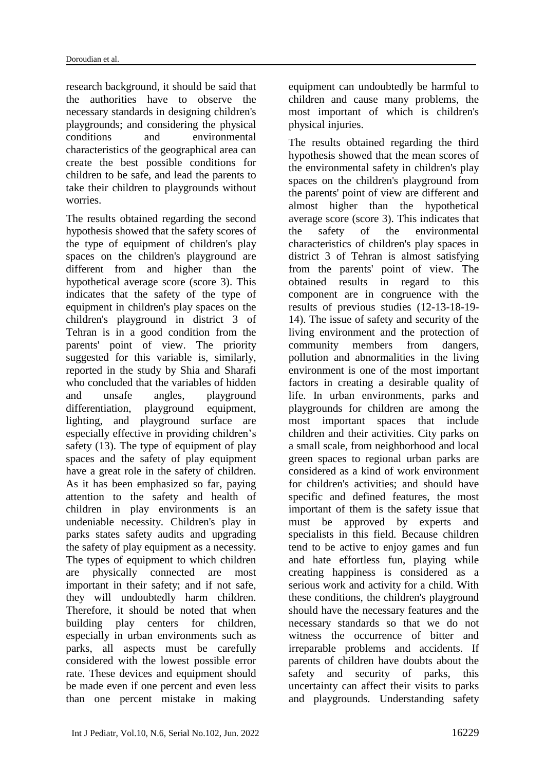research background, it should be said that the authorities have to observe the necessary standards in designing children's playgrounds; and considering the physical conditions and environmental characteristics of the geographical area can create the best possible conditions for children to be safe, and lead the parents to take their children to playgrounds without worries.

The results obtained regarding the second hypothesis showed that the safety scores of the type of equipment of children's play spaces on the children's playground are different from and higher than the hypothetical average score (score 3). This indicates that the safety of the type of equipment in children's play spaces on the children's playground in district 3 of Tehran is in a good condition from the parents' point of view. The priority suggested for this variable is, similarly, reported in the study by Shia and Sharafi who concluded that the variables of hidden and unsafe angles, playground differentiation, playground equipment, lighting, and playground surface are especially effective in providing children's safety (13). The type of equipment of play spaces and the safety of play equipment have a great role in the safety of children. As it has been emphasized so far, paying attention to the safety and health of children in play environments is an undeniable necessity. Children's play in parks states safety audits and upgrading the safety of play equipment as a necessity. The types of equipment to which children are physically connected are most important in their safety; and if not safe, they will undoubtedly harm children. Therefore, it should be noted that when building play centers for children, especially in urban environments such as parks, all aspects must be carefully considered with the lowest possible error rate. These devices and equipment should be made even if one percent and even less than one percent mistake in making

equipment can undoubtedly be harmful to children and cause many problems, the most important of which is children's physical injuries.

The results obtained regarding the third hypothesis showed that the mean scores of the environmental safety in children's play spaces on the children's playground from the parents' point of view are different and almost higher than the hypothetical average score (score 3). This indicates that the safety of the environmental characteristics of children's play spaces in district 3 of Tehran is almost satisfying from the parents' point of view. The obtained results in regard to this component are in congruence with the results of previous studies (12-13-18-19- 14). The issue of safety and security of the living environment and the protection of community members from dangers, pollution and abnormalities in the living environment is one of the most important factors in creating a desirable quality of life. In urban environments, parks and playgrounds for children are among the most important spaces that include children and their activities. City parks on a small scale, from neighborhood and local green spaces to regional urban parks are considered as a kind of work environment for children's activities; and should have specific and defined features, the most important of them is the safety issue that must be approved by experts and specialists in this field. Because children tend to be active to enjoy games and fun and hate effortless fun, playing while creating happiness is considered as a serious work and activity for a child. With these conditions, the children's playground should have the necessary features and the necessary standards so that we do not witness the occurrence of bitter and irreparable problems and accidents. If parents of children have doubts about the safety and security of parks, this uncertainty can affect their visits to parks and playgrounds. Understanding safety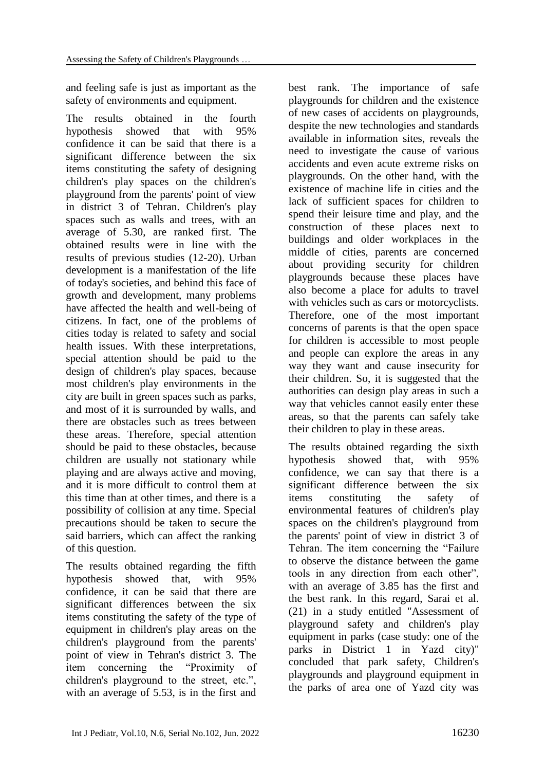and feeling safe is just as important as the safety of environments and equipment.

The results obtained in the fourth hypothesis showed that with 95% confidence it can be said that there is a significant difference between the six items constituting the safety of designing children's play spaces on the children's playground from the parents' point of view in district 3 of Tehran. Children's play spaces such as walls and trees, with an average of 5.30, are ranked first. The obtained results were in line with the results of previous studies (12-20). Urban development is a manifestation of the life of today's societies, and behind this face of growth and development, many problems have affected the health and well-being of citizens. In fact, one of the problems of cities today is related to safety and social health issues. With these interpretations, special attention should be paid to the design of children's play spaces, because most children's play environments in the city are built in green spaces such as parks, and most of it is surrounded by walls, and there are obstacles such as trees between these areas. Therefore, special attention should be paid to these obstacles, because children are usually not stationary while playing and are always active and moving, and it is more difficult to control them at this time than at other times, and there is a possibility of collision at any time. Special precautions should be taken to secure the said barriers, which can affect the ranking of this question.

The results obtained regarding the fifth hypothesis showed that, with 95% confidence, it can be said that there are significant differences between the six items constituting the safety of the type of equipment in children's play areas on the children's playground from the parents' point of view in Tehran's district 3. The item concerning the "Proximity of children's playground to the street, etc.", with an average of 5.53, is in the first and

best rank. The importance of safe playgrounds for children and the existence of new cases of accidents on playgrounds, despite the new technologies and standards available in information sites, reveals the need to investigate the cause of various accidents and even acute extreme risks on playgrounds. On the other hand, with the existence of machine life in cities and the lack of sufficient spaces for children to spend their leisure time and play, and the construction of these places next to buildings and older workplaces in the middle of cities, parents are concerned about providing security for children playgrounds because these places have also become a place for adults to travel with vehicles such as cars or motorcyclists. Therefore, one of the most important concerns of parents is that the open space for children is accessible to most people and people can explore the areas in any way they want and cause insecurity for their children. So, it is suggested that the authorities can design play areas in such a way that vehicles cannot easily enter these areas, so that the parents can safely take their children to play in these areas.

The results obtained regarding the sixth hypothesis showed that, with 95% confidence, we can say that there is a significant difference between the six items constituting the safety of environmental features of children's play spaces on the children's playground from the parents' point of view in district 3 of Tehran. The item concerning the "Failure to observe the distance between the game tools in any direction from each other", with an average of 3.85 has the first and the best rank. In this regard, Sarai et al. (21) in a study entitled "Assessment of playground safety and children's play equipment in parks (case study: one of the parks in District 1 in Yazd city)" concluded that park safety, Children's playgrounds and playground equipment in the parks of area one of Yazd city was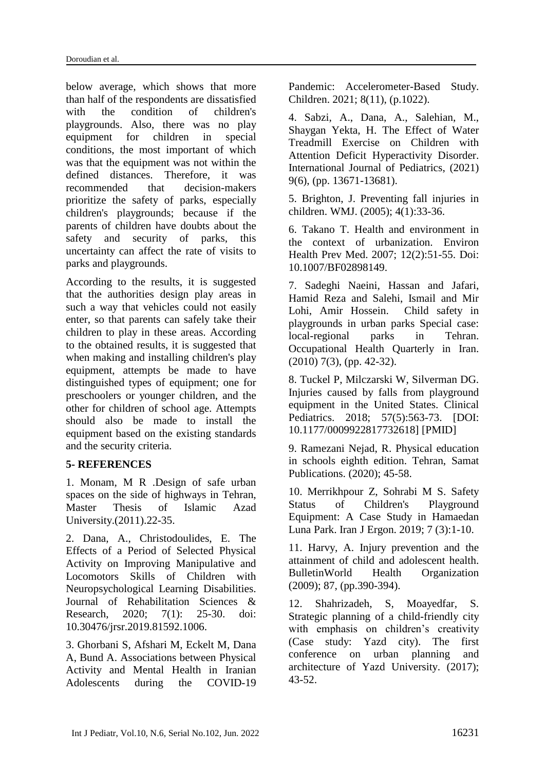below average, which shows that more than half of the respondents are dissatisfied with the condition of children's playgrounds. Also, there was no play equipment for children in special conditions, the most important of which was that the equipment was not within the defined distances. Therefore, it was recommended that decision-makers prioritize the safety of parks, especially children's playgrounds; because if the parents of children have doubts about the safety and security of parks, this uncertainty can affect the rate of visits to parks and playgrounds.

According to the results, it is suggested that the authorities design play areas in such a way that vehicles could not easily enter, so that parents can safely take their children to play in these areas. According to the obtained results, it is suggested that when making and installing children's play equipment, attempts be made to have distinguished types of equipment; one for preschoolers or younger children, and the other for children of school age. Attempts should also be made to install the equipment based on the existing standards and the security criteria.

### **5- REFERENCES**

1. Monam, M R .Design of safe urban spaces on the side of highways in Tehran, Master Thesis of Islamic Azad University.(2011).22-35.

2. Dana, A., Christodoulides, E. The Effects of a Period of Selected Physical Activity on Improving Manipulative and Locomotors Skills of Children with Neuropsychological Learning Disabilities. Journal of Rehabilitation Sciences & Research, 2020; 7(1): 25-30. doi: 10.30476/jrsr.2019.81592.1006.

3. Ghorbani S, Afshari M, Eckelt M, Dana A, Bund A. Associations between Physical Activity and Mental Health in Iranian Adolescents during the COVID-19 Pandemic: Accelerometer-Based Study. Children. 2021; 8(11), (p.1022).

4. Sabzi, A., Dana, A., Salehian, M., Shaygan Yekta, H. The Effect of Water Treadmill Exercise on Children with Attention Deficit Hyperactivity Disorder. International Journal of Pediatrics, (2021) 9(6), (pp. 13671-13681).

5. Brighton, J. Preventing fall injuries in children. WMJ. (2005); 4(1):33-36.

6. Takano T. Health and environment in the context of urbanization. Environ Health Prev Med. 2007; 12(2):51-55. Doi: 10.1007/BF02898149.

7. Sadeghi Naeini, Hassan and Jafari, Hamid Reza and Salehi, Ismail and Mir Lohi, Amir Hossein. Child safety in playgrounds in urban parks Special case: local-regional parks in Tehran. Occupational Health Quarterly in Iran. (2010) 7(3), (pp. 42-32).

8. Tuckel P, Milczarski W, Silverman DG. Injuries caused by falls from playground equipment in the United States. Clinical Pediatrics. 2018: 57(5):563-73. [DOI: 10.1177/0009922817732618] [PMID]

9. Ramezani Nejad, R. Physical education in schools eighth edition. Tehran, Samat Publications. (2020); 45-58.

10. Merrikhpour Z, Sohrabi M S. Safety Status of Children's Playground Equipment: A Case Study in Hamaedan Luna Park. Iran J Ergon. 2019; 7 (3):1-10.

11. Harvy, A. Injury prevention and the attainment of child and adolescent health. BulletinWorld Health Organization (2009); 87, (pp.390-394).

12. Shahrizadeh, S, Moayedfar, S. Strategic planning of a child-friendly city with emphasis on children's creativity (Case study: Yazd city). The first conference on urban planning and architecture of Yazd University. (2017); 43-52.